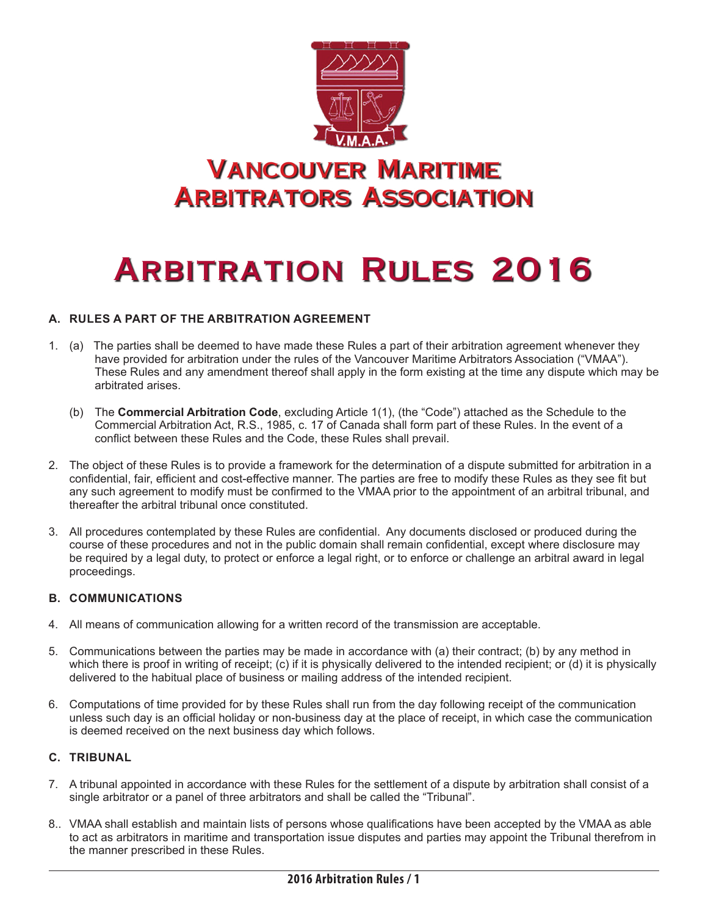

# **ARBITRATION RULES 2016**

#### **A. RULES A PART OF THE ARBITRATION AGREEMENT**

- 1. (a) The parties shall be deemed to have made these Rules a part of their arbitration agreement whenever they have provided for arbitration under the rules of the Vancouver Maritime Arbitrators Association ("VMAA"). These Rules and any amendment thereof shall apply in the form existing at the time any dispute which may be arbitrated arises.
	- (b) The **Commercial Arbitration Code**, excluding Article 1(1), (the "Code") attached as the Schedule to the Commercial Arbitration Act, R.S., 1985, c. 17 of Canada shall form part of these Rules. In the event of a conflict between these Rules and the Code, these Rules shall prevail.
- 2. The object of these Rules is to provide a framework for the determination of a dispute submitted for arbitration in a confidential, fair, efficient and cost-effective manner. The parties are free to modify these Rules as they see fit but any such agreement to modify must be confirmed to the VMAA prior to the appointment of an arbitral tribunal, and thereafter the arbitral tribunal once constituted.
- 3. All procedures contemplated by these Rules are confidential. Any documents disclosed or produced during the course of these procedures and not in the public domain shall remain confidential, except where disclosure may be required by a legal duty, to protect or enforce a legal right, or to enforce or challenge an arbitral award in legal proceedings.

#### **B. COMMUNICATIONS**

- 4. All means of communication allowing for a written record of the transmission are acceptable.
- 5. Communications between the parties may be made in accordance with (a) their contract; (b) by any method in which there is proof in writing of receipt; (c) if it is physically delivered to the intended recipient; or (d) it is physically delivered to the habitual place of business or mailing address of the intended recipient.
- 6. Computations of time provided for by these Rules shall run from the day following receipt of the communication unless such day is an official holiday or non-business day at the place of receipt, in which case the communication is deemed received on the next business day which follows.

#### **C. TRIBUNAL**

- 7. A tribunal appointed in accordance with these Rules for the settlement of a dispute by arbitration shall consist of a single arbitrator or a panel of three arbitrators and shall be called the "Tribunal".
- 8.. VMAA shall establish and maintain lists of persons whose qualifications have been accepted by the VMAA as able to act as arbitrators in maritime and transportation issue disputes and parties may appoint the Tribunal therefrom in the manner prescribed in these Rules.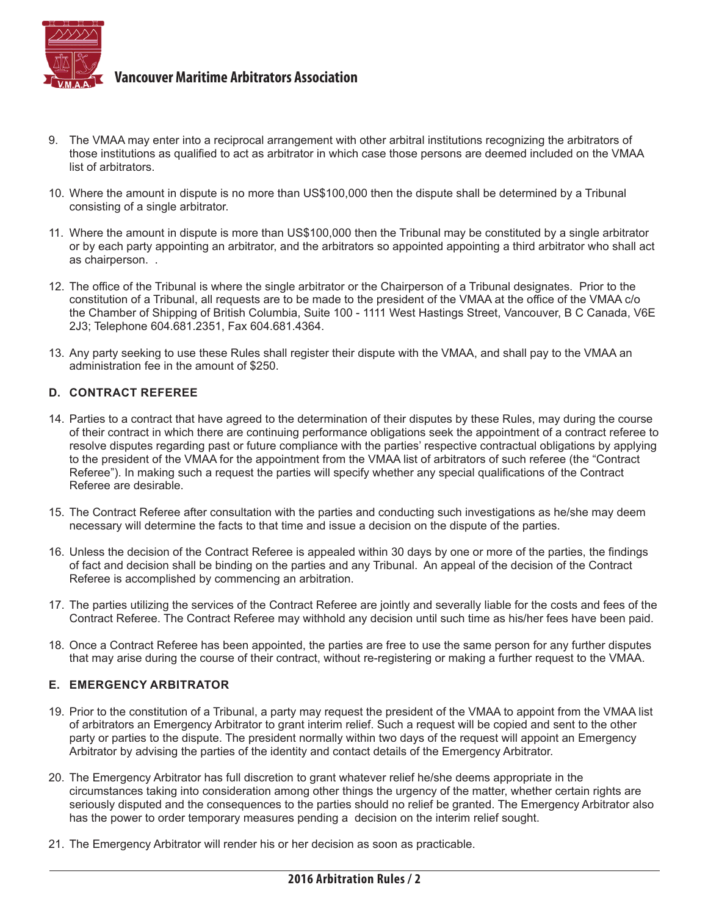

- 9. The VMAA may enter into a reciprocal arrangement with other arbitral institutions recognizing the arbitrators of those institutions as qualified to act as arbitrator in which case those persons are deemed included on the VMAA list of arbitrators.
- 10. Where the amount in dispute is no more than US\$100,000 then the dispute shall be determined by a Tribunal consisting of a single arbitrator.
- 11. Where the amount in dispute is more than US\$100,000 then the Tribunal may be constituted by a single arbitrator or by each party appointing an arbitrator, and the arbitrators so appointed appointing a third arbitrator who shall act as chairperson. .
- 12. The office of the Tribunal is where the single arbitrator or the Chairperson of a Tribunal designates. Prior to the constitution of a Tribunal, all requests are to be made to the president of the VMAA at the office of the VMAA c/o the Chamber of Shipping of British Columbia, Suite 100 - 1111 West Hastings Street, Vancouver, B C Canada, V6E 2J3; Telephone 604.681.2351, Fax 604.681.4364.
- 13. Any party seeking to use these Rules shall register their dispute with the VMAA, and shall pay to the VMAA an administration fee in the amount of \$250.

#### **D. CONTRACT REFEREE**

- 14. Parties to a contract that have agreed to the determination of their disputes by these Rules, may during the course of their contract in which there are continuing performance obligations seek the appointment of a contract referee to resolve disputes regarding past or future compliance with the parties' respective contractual obligations by applying to the president of the VMAA for the appointment from the VMAA list of arbitrators of such referee (the "Contract Referee"). In making such a request the parties will specify whether any special qualifications of the Contract Referee are desirable.
- 15. The Contract Referee after consultation with the parties and conducting such investigations as he/she may deem necessary will determine the facts to that time and issue a decision on the dispute of the parties.
- 16. Unless the decision of the Contract Referee is appealed within 30 days by one or more of the parties, the findings of fact and decision shall be binding on the parties and any Tribunal. An appeal of the decision of the Contract Referee is accomplished by commencing an arbitration.
- 17. The parties utilizing the services of the Contract Referee are jointly and severally liable for the costs and fees of the Contract Referee. The Contract Referee may withhold any decision until such time as his/her fees have been paid.
- 18. Once a Contract Referee has been appointed, the parties are free to use the same person for any further disputes that may arise during the course of their contract, without re-registering or making a further request to the VMAA.

#### **E. EMERGENCY ARBITRATOR**

- 19. Prior to the constitution of a Tribunal, a party may request the president of the VMAA to appoint from the VMAA list of arbitrators an Emergency Arbitrator to grant interim relief. Such a request will be copied and sent to the other party or parties to the dispute. The president normally within two days of the request will appoint an Emergency Arbitrator by advising the parties of the identity and contact details of the Emergency Arbitrator.
- 20. The Emergency Arbitrator has full discretion to grant whatever relief he/she deems appropriate in the circumstances taking into consideration among other things the urgency of the matter, whether certain rights are seriously disputed and the consequences to the parties should no relief be granted. The Emergency Arbitrator also has the power to order temporary measures pending a decision on the interim relief sought.
- 21. The Emergency Arbitrator will render his or her decision as soon as practicable.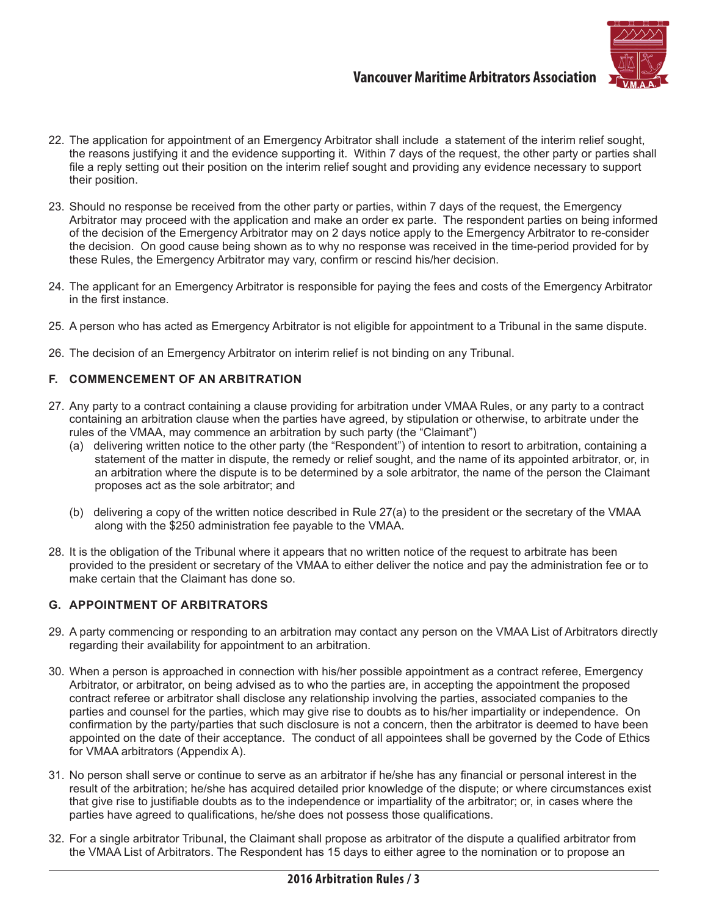

- 22. The application for appointment of an Emergency Arbitrator shall include a statement of the interim relief sought, the reasons justifying it and the evidence supporting it. Within 7 days of the request, the other party or parties shall file a reply setting out their position on the interim relief sought and providing any evidence necessary to support their position.
- 23. Should no response be received from the other party or parties, within 7 days of the request, the Emergency Arbitrator may proceed with the application and make an order ex parte. The respondent parties on being informed of the decision of the Emergency Arbitrator may on 2 days notice apply to the Emergency Arbitrator to re-consider the decision. On good cause being shown as to why no response was received in the time-period provided for by these Rules, the Emergency Arbitrator may vary, confirm or rescind his/her decision.
- 24. The applicant for an Emergency Arbitrator is responsible for paying the fees and costs of the Emergency Arbitrator in the first instance.
- 25. A person who has acted as Emergency Arbitrator is not eligible for appointment to a Tribunal in the same dispute.
- 26. The decision of an Emergency Arbitrator on interim relief is not binding on any Tribunal.

#### **F. COMMENCEMENT OF AN ARBITRATION**

- 27. Any party to a contract containing a clause providing for arbitration under VMAA Rules, or any party to a contract containing an arbitration clause when the parties have agreed, by stipulation or otherwise, to arbitrate under the rules of the VMAA, may commence an arbitration by such party (the "Claimant")
	- (a) delivering written notice to the other party (the "Respondent") of intention to resort to arbitration, containing a statement of the matter in dispute, the remedy or relief sought, and the name of its appointed arbitrator, or, in an arbitration where the dispute is to be determined by a sole arbitrator, the name of the person the Claimant proposes act as the sole arbitrator; and
	- (b) delivering a copy of the written notice described in Rule 27(a) to the president or the secretary of the VMAA along with the \$250 administration fee payable to the VMAA.
- 28. It is the obligation of the Tribunal where it appears that no written notice of the request to arbitrate has been provided to the president or secretary of the VMAA to either deliver the notice and pay the administration fee or to make certain that the Claimant has done so.

#### **G. APPOINTMENT OF ARBITRATORS**

- 29. A party commencing or responding to an arbitration may contact any person on the VMAA List of Arbitrators directly regarding their availability for appointment to an arbitration.
- 30. When a person is approached in connection with his/her possible appointment as a contract referee, Emergency Arbitrator, or arbitrator, on being advised as to who the parties are, in accepting the appointment the proposed contract referee or arbitrator shall disclose any relationship involving the parties, associated companies to the parties and counsel for the parties, which may give rise to doubts as to his/her impartiality or independence. On confirmation by the party/parties that such disclosure is not a concern, then the arbitrator is deemed to have been appointed on the date of their acceptance. The conduct of all appointees shall be governed by the Code of Ethics for VMAA arbitrators (Appendix A).
- 31. No person shall serve or continue to serve as an arbitrator if he/she has any financial or personal interest in the result of the arbitration; he/she has acquired detailed prior knowledge of the dispute; or where circumstances exist that give rise to justifiable doubts as to the independence or impartiality of the arbitrator; or, in cases where the parties have agreed to qualifications, he/she does not possess those qualifications.
- 32. For a single arbitrator Tribunal, the Claimant shall propose as arbitrator of the dispute a qualified arbitrator from the VMAA List of Arbitrators. The Respondent has 15 days to either agree to the nomination or to propose an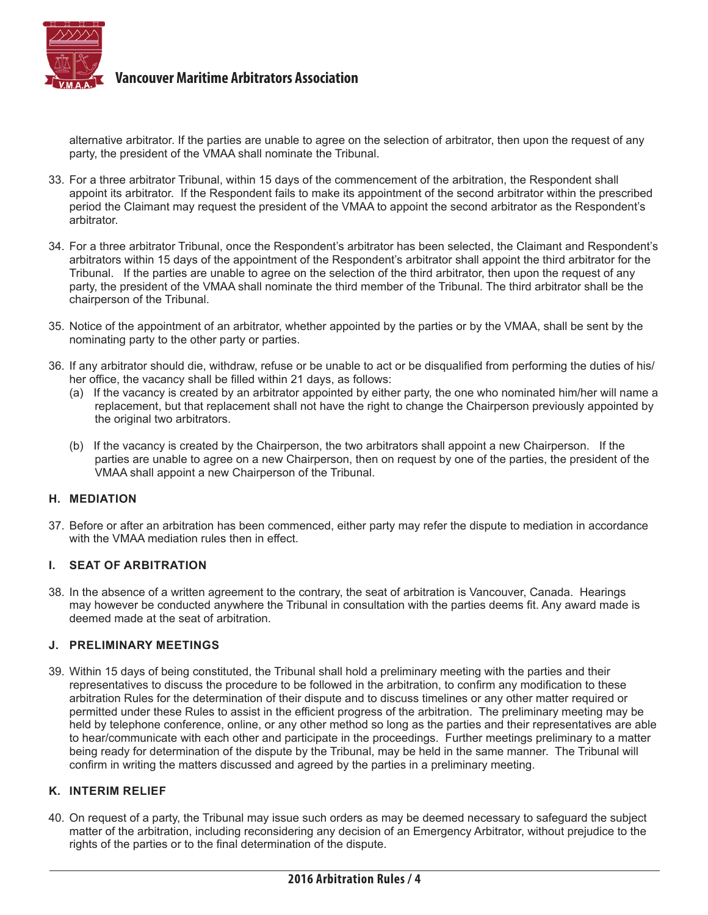

alternative arbitrator. If the parties are unable to agree on the selection of arbitrator, then upon the request of any party, the president of the VMAA shall nominate the Tribunal.

- 33. For a three arbitrator Tribunal, within 15 days of the commencement of the arbitration, the Respondent shall appoint its arbitrator. If the Respondent fails to make its appointment of the second arbitrator within the prescribed period the Claimant may request the president of the VMAA to appoint the second arbitrator as the Respondent's arbitrator.
- 34. For a three arbitrator Tribunal, once the Respondent's arbitrator has been selected, the Claimant and Respondent's arbitrators within 15 days of the appointment of the Respondent's arbitrator shall appoint the third arbitrator for the Tribunal. If the parties are unable to agree on the selection of the third arbitrator, then upon the request of any party, the president of the VMAA shall nominate the third member of the Tribunal. The third arbitrator shall be the chairperson of the Tribunal.
- 35. Notice of the appointment of an arbitrator, whether appointed by the parties or by the VMAA, shall be sent by the nominating party to the other party or parties.
- 36. If any arbitrator should die, withdraw, refuse or be unable to act or be disqualified from performing the duties of his/ her office, the vacancy shall be filled within 21 days, as follows:
	- (a) If the vacancy is created by an arbitrator appointed by either party, the one who nominated him/her will name a replacement, but that replacement shall not have the right to change the Chairperson previously appointed by the original two arbitrators.
	- (b) If the vacancy is created by the Chairperson, the two arbitrators shall appoint a new Chairperson. If the parties are unable to agree on a new Chairperson, then on request by one of the parties, the president of the VMAA shall appoint a new Chairperson of the Tribunal.

#### **H. MEDIATION**

37. Before or after an arbitration has been commenced, either party may refer the dispute to mediation in accordance with the VMAA mediation rules then in effect.

#### **I. SEAT OF ARBITRATION**

38. In the absence of a written agreement to the contrary, the seat of arbitration is Vancouver, Canada. Hearings may however be conducted anywhere the Tribunal in consultation with the parties deems fit. Any award made is deemed made at the seat of arbitration.

#### **J. PRELIMINARY MEETINGS**

39. Within 15 days of being constituted, the Tribunal shall hold a preliminary meeting with the parties and their representatives to discuss the procedure to be followed in the arbitration, to confirm any modification to these arbitration Rules for the determination of their dispute and to discuss timelines or any other matter required or permitted under these Rules to assist in the efficient progress of the arbitration. The preliminary meeting may be held by telephone conference, online, or any other method so long as the parties and their representatives are able to hear/communicate with each other and participate in the proceedings. Further meetings preliminary to a matter being ready for determination of the dispute by the Tribunal, may be held in the same manner. The Tribunal will confirm in writing the matters discussed and agreed by the parties in a preliminary meeting.

#### **K. INTERIM RELIEF**

40. On request of a party, the Tribunal may issue such orders as may be deemed necessary to safeguard the subject matter of the arbitration, including reconsidering any decision of an Emergency Arbitrator, without prejudice to the rights of the parties or to the final determination of the dispute.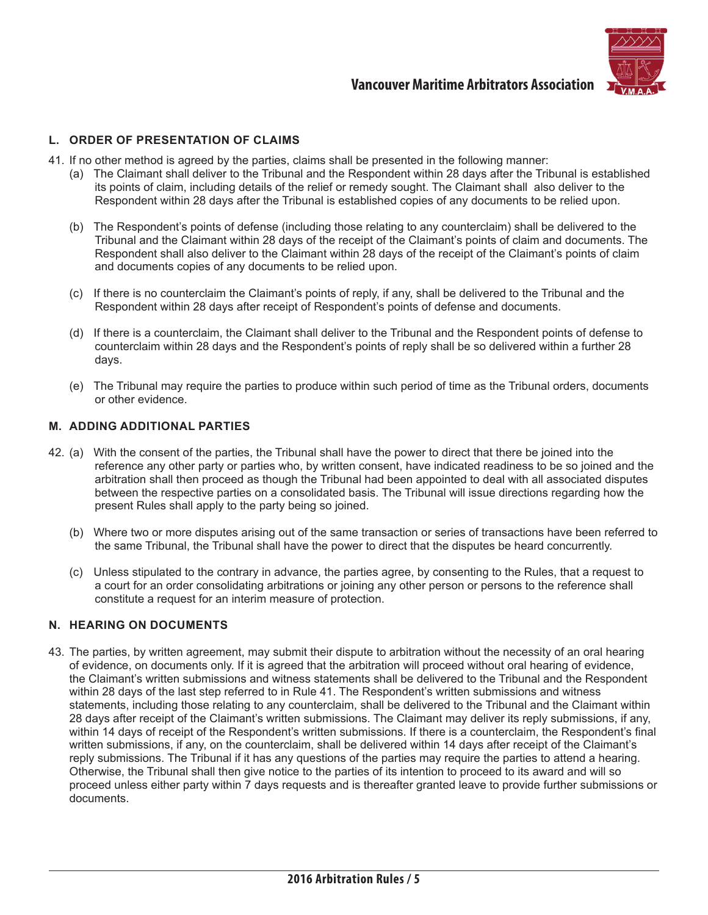

#### **L. ORDER OF PRESENTATION OF CLAIMS**

- 41. If no other method is agreed by the parties, claims shall be presented in the following manner:
	- (a) The Claimant shall deliver to the Tribunal and the Respondent within 28 days after the Tribunal is established its points of claim, including details of the relief or remedy sought. The Claimant shall also deliver to the Respondent within 28 days after the Tribunal is established copies of any documents to be relied upon.
	- (b) The Respondent's points of defense (including those relating to any counterclaim) shall be delivered to the Tribunal and the Claimant within 28 days of the receipt of the Claimant's points of claim and documents. The Respondent shall also deliver to the Claimant within 28 days of the receipt of the Claimant's points of claim and documents copies of any documents to be relied upon.
	- (c) If there is no counterclaim the Claimant's points of reply, if any, shall be delivered to the Tribunal and the Respondent within 28 days after receipt of Respondent's points of defense and documents.
	- (d) If there is a counterclaim, the Claimant shall deliver to the Tribunal and the Respondent points of defense to counterclaim within 28 days and the Respondent's points of reply shall be so delivered within a further 28 days.
	- (e) The Tribunal may require the parties to produce within such period of time as the Tribunal orders, documents or other evidence.

#### **M. ADDING ADDITIONAL PARTIES**

- 42. (a) With the consent of the parties, the Tribunal shall have the power to direct that there be joined into the reference any other party or parties who, by written consent, have indicated readiness to be so joined and the arbitration shall then proceed as though the Tribunal had been appointed to deal with all associated disputes between the respective parties on a consolidated basis. The Tribunal will issue directions regarding how the present Rules shall apply to the party being so joined.
	- (b) Where two or more disputes arising out of the same transaction or series of transactions have been referred to the same Tribunal, the Tribunal shall have the power to direct that the disputes be heard concurrently.
	- (c) Unless stipulated to the contrary in advance, the parties agree, by consenting to the Rules, that a request to a court for an order consolidating arbitrations or joining any other person or persons to the reference shall constitute a request for an interim measure of protection.

#### **N. HEARING ON DOCUMENTS**

43. The parties, by written agreement, may submit their dispute to arbitration without the necessity of an oral hearing of evidence, on documents only. If it is agreed that the arbitration will proceed without oral hearing of evidence, the Claimant's written submissions and witness statements shall be delivered to the Tribunal and the Respondent within 28 days of the last step referred to in Rule 41. The Respondent's written submissions and witness statements, including those relating to any counterclaim, shall be delivered to the Tribunal and the Claimant within 28 days after receipt of the Claimant's written submissions. The Claimant may deliver its reply submissions, if any, within 14 days of receipt of the Respondent's written submissions. If there is a counterclaim, the Respondent's final written submissions, if any, on the counterclaim, shall be delivered within 14 days after receipt of the Claimant's reply submissions. The Tribunal if it has any questions of the parties may require the parties to attend a hearing. Otherwise, the Tribunal shall then give notice to the parties of its intention to proceed to its award and will so proceed unless either party within 7 days requests and is thereafter granted leave to provide further submissions or documents.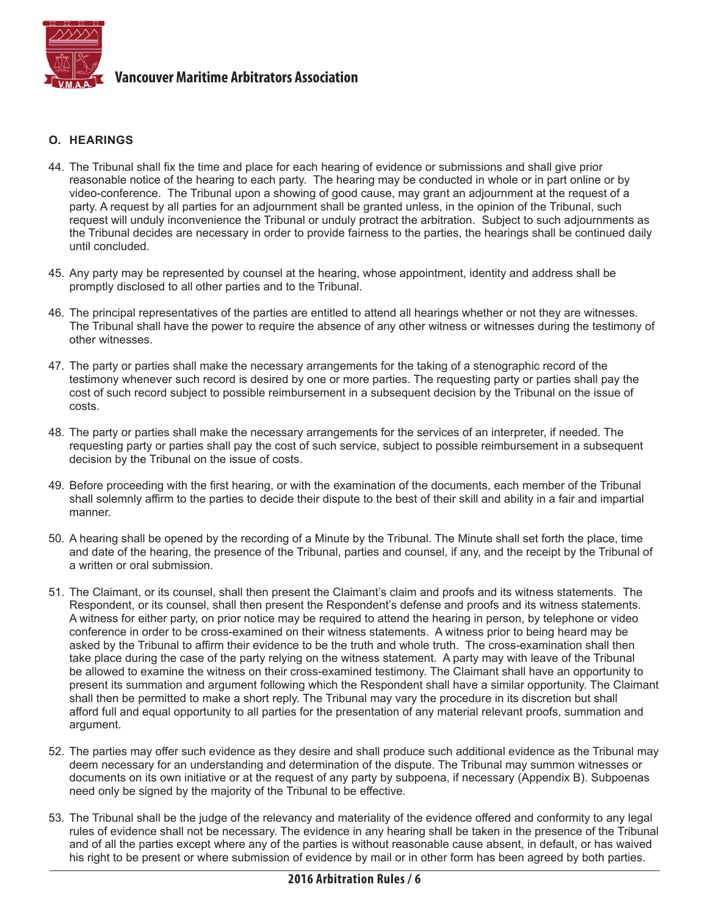

#### **O. HEARINGS**

- 44. The Tribunal shall fix the time and place for each hearing of evidence or submissions and shall give prior reasonable notice of the hearing to each party. The hearing may be conducted in whole or in part online or by video-conference. The Tribunal upon a showing of good cause, may grant an adjournment at the request of a party. A request by all parties for an adjournment shall be granted unless, in the opinion of the Tribunal, such request will unduly inconvenience the Tribunal or unduly protract the arbitration. Subject to such adjournments as the Tribunal decides are necessary in order to provide fairness to the parties, the hearings shall be continued daily until concluded.
- 45. Any party may be represented by counsel at the hearing, whose appointment, identity and address shall be promptly disclosed to all other parties and to the Tribunal.
- 46. The principal representatives of the parties are entitled to attend all hearings whether or not they are witnesses. The Tribunal shall have the power to require the absence of any other witness or witnesses during the testimony of other witnesses.
- 47. The party or parties shall make the necessary arrangements for the taking of a stenographic record of the testimony whenever such record is desired by one or more parties. The requesting party or parties shall pay the cost of such record subject to possible reimbursement in a subsequent decision by the Tribunal on the issue of costs.
- 48. The party or parties shall make the necessary arrangements for the services of an interpreter, if needed. The requesting party or parties shall pay the cost of such service, subject to possible reimbursement in a subsequent decision by the Tribunal on the issue of costs.
- 49. Before proceeding with the first hearing, or with the examination of the documents, each member of the Tribunal shall solemnly affirm to the parties to decide their dispute to the best of their skill and ability in a fair and impartial manner.
- 50. A hearing shall be opened by the recording of a Minute by the Tribunal. The Minute shall set forth the place, time and date of the hearing, the presence of the Tribunal, parties and counsel, if any, and the receipt by the Tribunal of a written or oral submission.
- 51. The Claimant, or its counsel, shall then present the Claimant's claim and proofs and its witness statements. The Respondent, or its counsel, shall then present the Respondent's defense and proofs and its witness statements. A witness for either party, on prior notice may be required to attend the hearing in person, by telephone or video conference in order to be cross-examined on their witness statements. A witness prior to being heard may be asked by the Tribunal to affirm their evidence to be the truth and whole truth. The cross-examination shall then take place during the case of the party relying on the witness statement. A party may with leave of the Tribunal be allowed to examine the witness on their cross-examined testimony. The Claimant shall have an opportunity to present its summation and argument following which the Respondent shall have a similar opportunity. The Claimant shall then be permitted to make a short reply. The Tribunal may vary the procedure in its discretion but shall afford full and equal opportunity to all parties for the presentation of any material relevant proofs, summation and argument.
- 52. The parties may offer such evidence as they desire and shall produce such additional evidence as the Tribunal may deem necessary for an understanding and determination of the dispute. The Tribunal may summon witnesses or documents on its own initiative or at the request of any party by subpoena, if necessary (Appendix B). Subpoenas need only be signed by the majority of the Tribunal to be effective.
- 53. The Tribunal shall be the judge of the relevancy and materiality of the evidence offered and conformity to any legal rules of evidence shall not be necessary. The evidence in any hearing shall be taken in the presence of the Tribunal and of all the parties except where any of the parties is without reasonable cause absent, in default, or has waived his right to be present or where submission of evidence by mail or in other form has been agreed by both parties.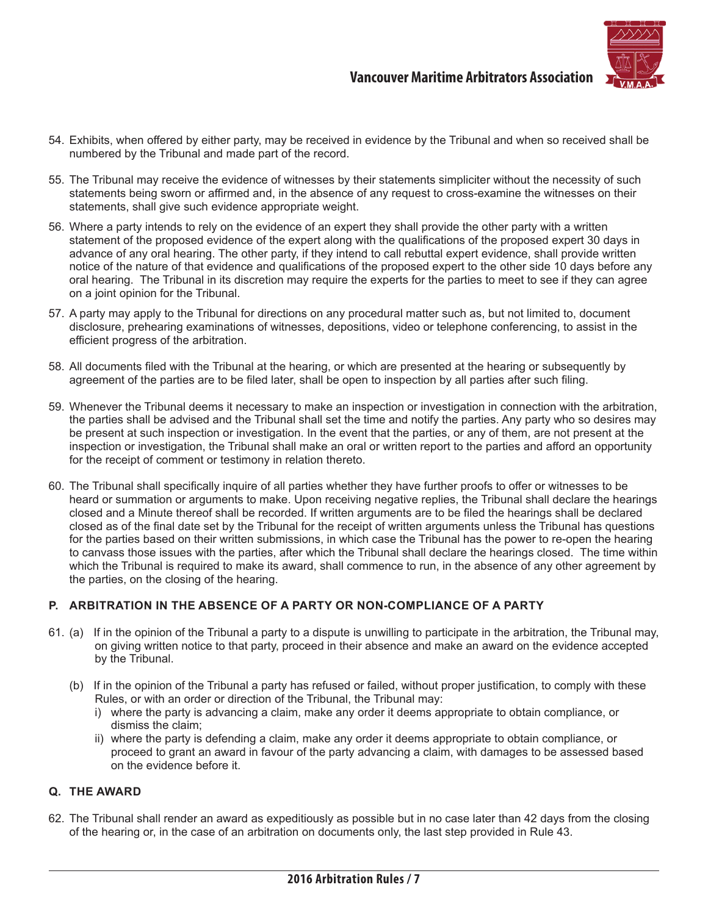

- 54. Exhibits, when offered by either party, may be received in evidence by the Tribunal and when so received shall be numbered by the Tribunal and made part of the record.
- 55. The Tribunal may receive the evidence of witnesses by their statements simpliciter without the necessity of such statements being sworn or affirmed and, in the absence of any request to cross-examine the witnesses on their statements, shall give such evidence appropriate weight.
- 56. Where a party intends to rely on the evidence of an expert they shall provide the other party with a written statement of the proposed evidence of the expert along with the qualifications of the proposed expert 30 days in advance of any oral hearing. The other party, if they intend to call rebuttal expert evidence, shall provide written notice of the nature of that evidence and qualifications of the proposed expert to the other side 10 days before any oral hearing. The Tribunal in its discretion may require the experts for the parties to meet to see if they can agree on a joint opinion for the Tribunal.
- 57. A party may apply to the Tribunal for directions on any procedural matter such as, but not limited to, document disclosure, prehearing examinations of witnesses, depositions, video or telephone conferencing, to assist in the efficient progress of the arbitration.
- 58. All documents filed with the Tribunal at the hearing, or which are presented at the hearing or subsequently by agreement of the parties are to be filed later, shall be open to inspection by all parties after such filing.
- 59. Whenever the Tribunal deems it necessary to make an inspection or investigation in connection with the arbitration, the parties shall be advised and the Tribunal shall set the time and notify the parties. Any party who so desires may be present at such inspection or investigation. In the event that the parties, or any of them, are not present at the inspection or investigation, the Tribunal shall make an oral or written report to the parties and afford an opportunity for the receipt of comment or testimony in relation thereto.
- 60. The Tribunal shall specifically inquire of all parties whether they have further proofs to offer or witnesses to be heard or summation or arguments to make. Upon receiving negative replies, the Tribunal shall declare the hearings closed and a Minute thereof shall be recorded. If written arguments are to be filed the hearings shall be declared closed as of the final date set by the Tribunal for the receipt of written arguments unless the Tribunal has questions for the parties based on their written submissions, in which case the Tribunal has the power to re-open the hearing to canvass those issues with the parties, after which the Tribunal shall declare the hearings closed. The time within which the Tribunal is required to make its award, shall commence to run, in the absence of any other agreement by the parties, on the closing of the hearing.

#### **P. ARBITRATION IN THE ABSENCE OF A PARTY OR NON-COMPLIANCE OF A PARTY**

- 61. (a) If in the opinion of the Tribunal a party to a dispute is unwilling to participate in the arbitration, the Tribunal may, on giving written notice to that party, proceed in their absence and make an award on the evidence accepted by the Tribunal.
	- (b) If in the opinion of the Tribunal a party has refused or failed, without proper justification, to comply with these Rules, or with an order or direction of the Tribunal, the Tribunal may:
		- i) where the party is advancing a claim, make any order it deems appropriate to obtain compliance, or dismiss the claim;
		- ii) where the party is defending a claim, make any order it deems appropriate to obtain compliance, or proceed to grant an award in favour of the party advancing a claim, with damages to be assessed based on the evidence before it.

#### **Q. THE AWARD**

62. The Tribunal shall render an award as expeditiously as possible but in no case later than 42 days from the closing of the hearing or, in the case of an arbitration on documents only, the last step provided in Rule 43.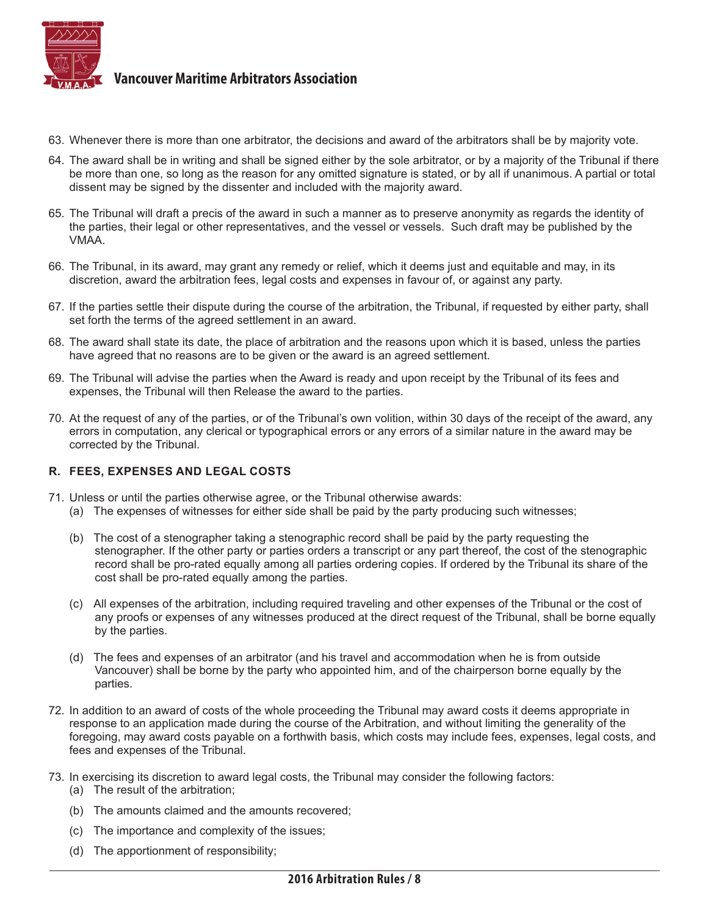

- 63. Whenever there is more than one arbitrator, the decisions and award of the arbitrators shall be by majority vote.
- 64. The award shall be in writing and shall be signed either by the sole arbitrator, or by a majority of the Tribunal if there be more than one, so long as the reason for any omitted signature is stated, or by all if unanimous. A partial or total dissent may be signed by the dissenter and included with the majority award.
- 65. The Tribunal will draft a precis of the award in such a manner as to preserve anonymity as regards the identity of the parties, their legal or other representatives, and the vessel or vessels. Such draft may be published by the VMAA.
- 66. The Tribunal, in its award, may grant any remedy or relief, which it deems just and equitable and may, in its discretion, award the arbitration fees, legal costs and expenses in favour of, or against any party.
- 67. If the parties settle their dispute during the course of the arbitration, the Tribunal, if requested by either party, shall set forth the terms of the agreed settlement in an award.
- 68. The award shall state its date, the place of arbitration and the reasons upon which it is based, unless the parties have agreed that no reasons are to be given or the award is an agreed settlement.
- 69. The Tribunal will advise the parties when the Award is ready and upon receipt by the Tribunal of its fees and expenses, the Tribunal will then Release the award to the parties.
- 70. At the request of any of the parties, or of the Tribunal's own volition, within 30 days of the receipt of the award, any errors in computation, any clerical or typographical errors or any errors of a similar nature in the award may be corrected by the Tribunal.

#### **R. FEES, EXPENSES AND LEGAL COSTS**

- 71. Unless or until the parties otherwise agree, or the Tribunal otherwise awards:
	- (a) The expenses of witnesses for either side shall be paid by the party producing such witnesses;
	- (b) The cost of a stenographer taking a stenographic record shall be paid by the party requesting the stenographer. If the other party or parties orders a transcript or any part thereof, the cost of the stenographic record shall be pro-rated equally among all parties ordering copies. If ordered by the Tribunal its share of the cost shall be pro-rated equally among the parties.
	- (c) All expenses of the arbitration, including required traveling and other expenses of the Tribunal or the cost of any proofs or expenses of any witnesses produced at the direct request of the Tribunal, shall be borne equally by the parties.
	- (d) The fees and expenses of an arbitrator (and his travel and accommodation when he is from outside Vancouver) shall be borne by the party who appointed him, and of the chairperson borne equally by the parties.
- 72. In addition to an award of costs of the whole proceeding the Tribunal may award costs it deems appropriate in response to an application made during the course of the Arbitration, and without limiting the generality of the foregoing, may award costs payable on a forthwith basis, which costs may include fees, expenses, legal costs, and fees and expenses of the Tribunal.
- 73. In exercising its discretion to award legal costs, the Tribunal may consider the following factors:
	- (a) The result of the arbitration;
	- (b) The amounts claimed and the amounts recovered;
	- (c) The importance and complexity of the issues;
	- (d) The apportionment of responsibility;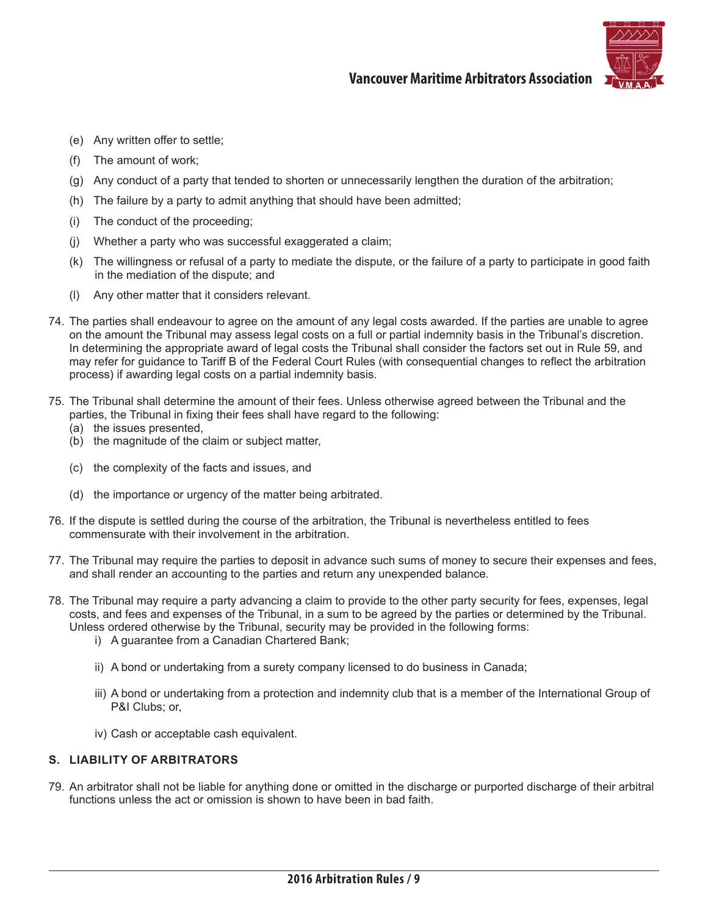

- (e) Any written offer to settle;
- (f) The amount of work;
- (g) Any conduct of a party that tended to shorten or unnecessarily lengthen the duration of the arbitration;
- (h) The failure by a party to admit anything that should have been admitted;
- (i) The conduct of the proceeding;
- (j) Whether a party who was successful exaggerated a claim;
- (k) The willingness or refusal of a party to mediate the dispute, or the failure of a party to participate in good faith in the mediation of the dispute; and
- (l) Any other matter that it considers relevant.
- 74. The parties shall endeavour to agree on the amount of any legal costs awarded. If the parties are unable to agree on the amount the Tribunal may assess legal costs on a full or partial indemnity basis in the Tribunal's discretion. In determining the appropriate award of legal costs the Tribunal shall consider the factors set out in Rule 59, and may refer for guidance to Tariff B of the Federal Court Rules (with consequential changes to reflect the arbitration process) if awarding legal costs on a partial indemnity basis.
- 75. The Tribunal shall determine the amount of their fees. Unless otherwise agreed between the Tribunal and the parties, the Tribunal in fixing their fees shall have regard to the following:
	- (a) the issues presented,
	- (b) the magnitude of the claim or subject matter,
	- (c) the complexity of the facts and issues, and
	- (d) the importance or urgency of the matter being arbitrated.
- 76. If the dispute is settled during the course of the arbitration, the Tribunal is nevertheless entitled to fees commensurate with their involvement in the arbitration.
- 77. The Tribunal may require the parties to deposit in advance such sums of money to secure their expenses and fees, and shall render an accounting to the parties and return any unexpended balance.
- 78. The Tribunal may require a party advancing a claim to provide to the other party security for fees, expenses, legal costs, and fees and expenses of the Tribunal, in a sum to be agreed by the parties or determined by the Tribunal. Unless ordered otherwise by the Tribunal, security may be provided in the following forms:
	- i) A guarantee from a Canadian Chartered Bank;
	- ii) A bond or undertaking from a surety company licensed to do business in Canada;
	- iii) A bond or undertaking from a protection and indemnity club that is a member of the International Group of P&I Clubs; or,
	- iv) Cash or acceptable cash equivalent.

#### **S. LIABILITY OF ARBITRATORS**

79. An arbitrator shall not be liable for anything done or omitted in the discharge or purported discharge of their arbitral functions unless the act or omission is shown to have been in bad faith.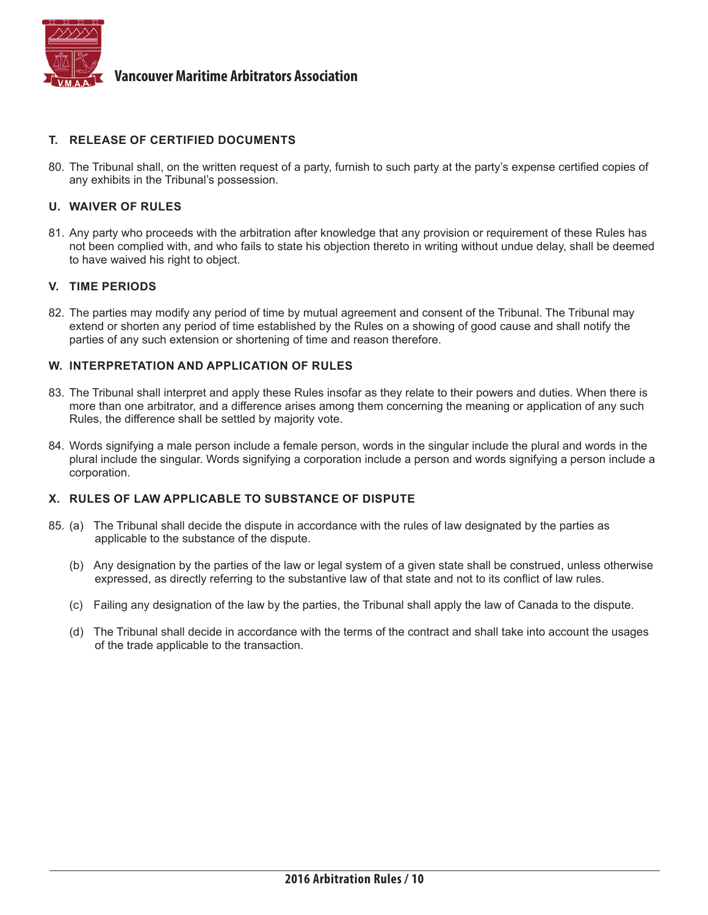

#### **T. RELEASE OF CERTIFIED DOCUMENTS**

80. The Tribunal shall, on the written request of a party, furnish to such party at the party's expense certified copies of any exhibits in the Tribunal's possession.

#### **U. WAIVER OF RULES**

81. Any party who proceeds with the arbitration after knowledge that any provision or requirement of these Rules has not been complied with, and who fails to state his objection thereto in writing without undue delay, shall be deemed to have waived his right to object.

#### **V. TIME PERIODS**

82. The parties may modify any period of time by mutual agreement and consent of the Tribunal. The Tribunal may extend or shorten any period of time established by the Rules on a showing of good cause and shall notify the parties of any such extension or shortening of time and reason therefore.

#### **W. INTERPRETATION AND APPLICATION OF RULES**

- 83. The Tribunal shall interpret and apply these Rules insofar as they relate to their powers and duties. When there is more than one arbitrator, and a difference arises among them concerning the meaning or application of any such Rules, the difference shall be settled by majority vote.
- 84. Words signifying a male person include a female person, words in the singular include the plural and words in the plural include the singular. Words signifying a corporation include a person and words signifying a person include a corporation.

#### **X. RULES OF LAW APPLICABLE TO SUBSTANCE OF DISPUTE**

- 85. (a) The Tribunal shall decide the dispute in accordance with the rules of law designated by the parties as applicable to the substance of the dispute.
	- (b) Any designation by the parties of the law or legal system of a given state shall be construed, unless otherwise expressed, as directly referring to the substantive law of that state and not to its conflict of law rules.
	- (c) Failing any designation of the law by the parties, the Tribunal shall apply the law of Canada to the dispute.
	- (d) The Tribunal shall decide in accordance with the terms of the contract and shall take into account the usages of the trade applicable to the transaction.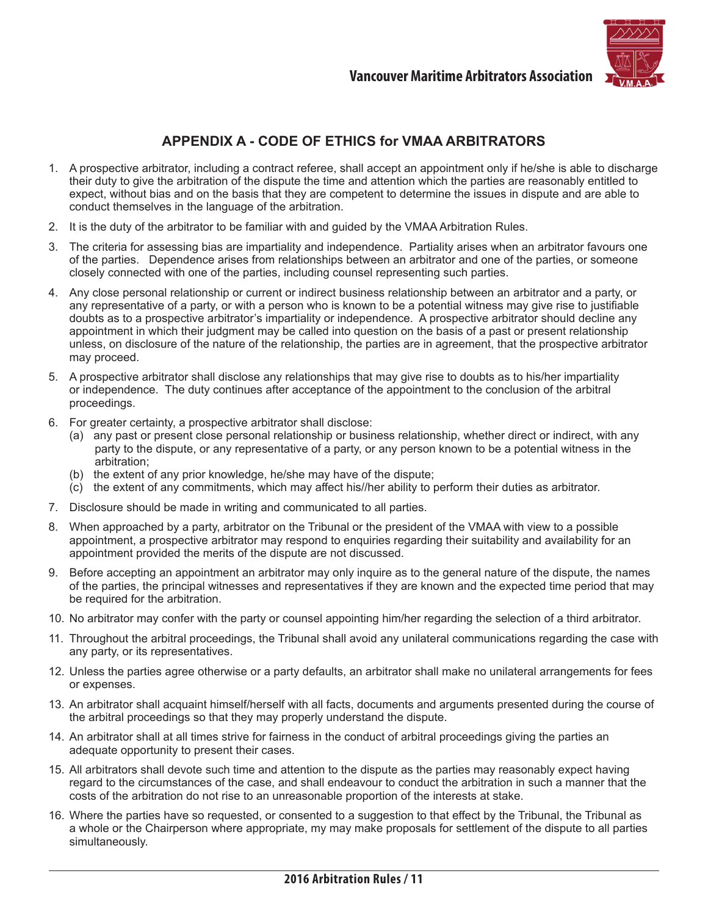

# **APPENDIX A - CODE OF ETHICS for VMAA ARBITRATORS**

- 1. A prospective arbitrator, including a contract referee, shall accept an appointment only if he/she is able to discharge their duty to give the arbitration of the dispute the time and attention which the parties are reasonably entitled to expect, without bias and on the basis that they are competent to determine the issues in dispute and are able to conduct themselves in the language of the arbitration.
- 2. It is the duty of the arbitrator to be familiar with and guided by the VMAA Arbitration Rules.
- 3. The criteria for assessing bias are impartiality and independence. Partiality arises when an arbitrator favours one of the parties. Dependence arises from relationships between an arbitrator and one of the parties, or someone closely connected with one of the parties, including counsel representing such parties.
- 4. Any close personal relationship or current or indirect business relationship between an arbitrator and a party, or any representative of a party, or with a person who is known to be a potential witness may give rise to justifiable doubts as to a prospective arbitrator's impartiality or independence. A prospective arbitrator should decline any appointment in which their judgment may be called into question on the basis of a past or present relationship unless, on disclosure of the nature of the relationship, the parties are in agreement, that the prospective arbitrator may proceed.
- 5. A prospective arbitrator shall disclose any relationships that may give rise to doubts as to his/her impartiality or independence. The duty continues after acceptance of the appointment to the conclusion of the arbitral proceedings.
- 6. For greater certainty, a prospective arbitrator shall disclose:
	- (a) any past or present close personal relationship or business relationship, whether direct or indirect, with any party to the dispute, or any representative of a party, or any person known to be a potential witness in the arbitration;
	- (b) the extent of any prior knowledge, he/she may have of the dispute;
	- (c) the extent of any commitments, which may affect his//her ability to perform their duties as arbitrator.
- 7. Disclosure should be made in writing and communicated to all parties.
- 8. When approached by a party, arbitrator on the Tribunal or the president of the VMAA with view to a possible appointment, a prospective arbitrator may respond to enquiries regarding their suitability and availability for an appointment provided the merits of the dispute are not discussed.
- 9. Before accepting an appointment an arbitrator may only inquire as to the general nature of the dispute, the names of the parties, the principal witnesses and representatives if they are known and the expected time period that may be required for the arbitration.
- 10. No arbitrator may confer with the party or counsel appointing him/her regarding the selection of a third arbitrator.
- 11. Throughout the arbitral proceedings, the Tribunal shall avoid any unilateral communications regarding the case with any party, or its representatives.
- 12. Unless the parties agree otherwise or a party defaults, an arbitrator shall make no unilateral arrangements for fees or expenses.
- 13. An arbitrator shall acquaint himself/herself with all facts, documents and arguments presented during the course of the arbitral proceedings so that they may properly understand the dispute.
- 14. An arbitrator shall at all times strive for fairness in the conduct of arbitral proceedings giving the parties an adequate opportunity to present their cases.
- 15. All arbitrators shall devote such time and attention to the dispute as the parties may reasonably expect having regard to the circumstances of the case, and shall endeavour to conduct the arbitration in such a manner that the costs of the arbitration do not rise to an unreasonable proportion of the interests at stake.
- 16. Where the parties have so requested, or consented to a suggestion to that effect by the Tribunal, the Tribunal as a whole or the Chairperson where appropriate, my may make proposals for settlement of the dispute to all parties simultaneously.